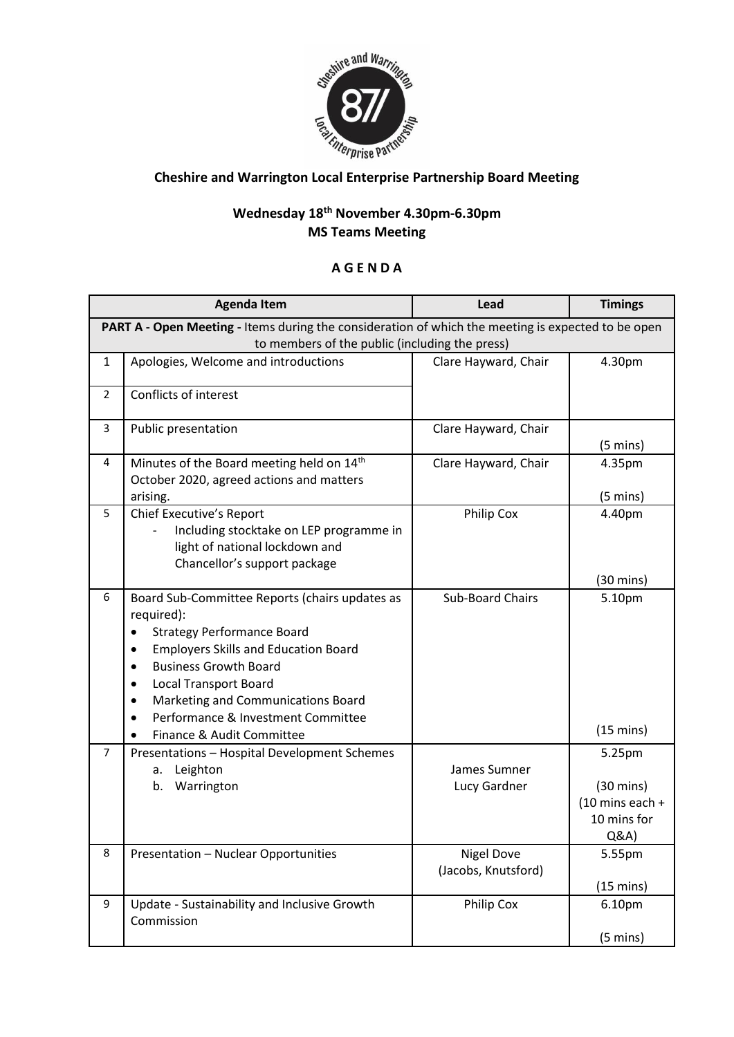

## **Cheshire and Warrington Local Enterprise Partnership Board Meeting**

## **Wednesday 18 th November 4.30pm-6.30pm MS Teams Meeting**

## **A G E N D A**

|                                                                                                    | <b>Agenda Item</b>                                                                                                                                                                                                                                                                                                                                         | Lead                                     | <b>Timings</b>                                                                   |  |  |
|----------------------------------------------------------------------------------------------------|------------------------------------------------------------------------------------------------------------------------------------------------------------------------------------------------------------------------------------------------------------------------------------------------------------------------------------------------------------|------------------------------------------|----------------------------------------------------------------------------------|--|--|
| PART A - Open Meeting - Items during the consideration of which the meeting is expected to be open |                                                                                                                                                                                                                                                                                                                                                            |                                          |                                                                                  |  |  |
| to members of the public (including the press)                                                     |                                                                                                                                                                                                                                                                                                                                                            |                                          |                                                                                  |  |  |
| $\mathbf{1}$                                                                                       | Apologies, Welcome and introductions                                                                                                                                                                                                                                                                                                                       | Clare Hayward, Chair                     | 4.30pm                                                                           |  |  |
| $\overline{2}$                                                                                     | Conflicts of interest                                                                                                                                                                                                                                                                                                                                      |                                          |                                                                                  |  |  |
| 3                                                                                                  | Public presentation                                                                                                                                                                                                                                                                                                                                        | Clare Hayward, Chair                     | $(5 \text{ mins})$                                                               |  |  |
| 4                                                                                                  | Minutes of the Board meeting held on 14 <sup>th</sup><br>October 2020, agreed actions and matters<br>arising.                                                                                                                                                                                                                                              | Clare Hayward, Chair                     | 4.35pm<br>$(5 \text{ mins})$                                                     |  |  |
| 5                                                                                                  | <b>Chief Executive's Report</b><br>Including stocktake on LEP programme in<br>light of national lockdown and<br>Chancellor's support package                                                                                                                                                                                                               | Philip Cox                               | 4.40pm<br>$(30 \text{ mins})$                                                    |  |  |
| 6                                                                                                  | Board Sub-Committee Reports (chairs updates as<br>required):<br><b>Strategy Performance Board</b><br><b>Employers Skills and Education Board</b><br>٠<br><b>Business Growth Board</b><br>٠<br><b>Local Transport Board</b><br>٠<br>Marketing and Communications Board<br>٠<br>Performance & Investment Committee<br>$\bullet$<br>Finance & Audit Committee | <b>Sub-Board Chairs</b>                  | 5.10pm<br>$(15 \text{ mins})$                                                    |  |  |
| $\overline{7}$                                                                                     | Presentations - Hospital Development Schemes<br>Leighton<br>a.<br>b. Warrington                                                                                                                                                                                                                                                                            | James Sumner<br>Lucy Gardner             | 5.25pm<br>$(30 \text{ mins})$<br>$(10 \text{ mins each} +$<br>10 mins for<br>Q&A |  |  |
| 8                                                                                                  | Presentation - Nuclear Opportunities                                                                                                                                                                                                                                                                                                                       | <b>Nigel Dove</b><br>(Jacobs, Knutsford) | 5.55pm<br>$(15 \text{ mins})$                                                    |  |  |
| 9                                                                                                  | Update - Sustainability and Inclusive Growth<br>Commission                                                                                                                                                                                                                                                                                                 | Philip Cox                               | 6.10pm<br>$(5 \text{ mins})$                                                     |  |  |